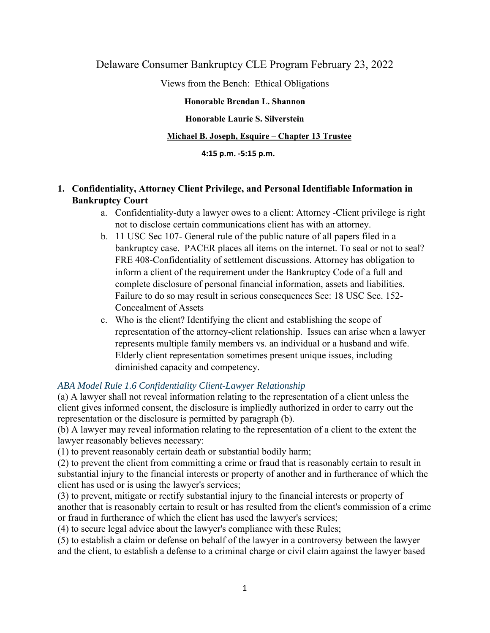# Delaware Consumer Bankruptcy CLE Program February 23, 2022

Views from the Bench: Ethical Obligations

## **Honorable Brendan L. Shannon**

# **Honorable Laurie S. Silverstein**

# **Michael B. Joseph, Esquire – Chapter 13 Trustee**

## **4:15 p.m. ‐5:15 p.m.**

# **1. Confidentiality, Attorney Client Privilege, and Personal Identifiable Information in Bankruptcy Court**

- a. Confidentiality-duty a lawyer owes to a client: Attorney -Client privilege is right not to disclose certain communications client has with an attorney.
- b. 11 USC Sec 107- General rule of the public nature of all papers filed in a bankruptcy case. PACER places all items on the internet. To seal or not to seal? FRE 408-Confidentiality of settlement discussions. Attorney has obligation to inform a client of the requirement under the Bankruptcy Code of a full and complete disclosure of personal financial information, assets and liabilities. Failure to do so may result in serious consequences See: 18 USC Sec. 152- Concealment of Assets
- c. Who is the client? Identifying the client and establishing the scope of representation of the attorney-client relationship. Issues can arise when a lawyer represents multiple family members vs. an individual or a husband and wife. Elderly client representation sometimes present unique issues, including diminished capacity and competency.

# *ABA Model Rule 1.6 Confidentiality Client-Lawyer Relationship*

(a) A lawyer shall not reveal information relating to the representation of a client unless the client gives informed consent, the disclosure is impliedly authorized in order to carry out the representation or the disclosure is permitted by paragraph (b).

(b) A lawyer may reveal information relating to the representation of a client to the extent the lawyer reasonably believes necessary:

(1) to prevent reasonably certain death or substantial bodily harm;

(2) to prevent the client from committing a crime or fraud that is reasonably certain to result in substantial injury to the financial interests or property of another and in furtherance of which the client has used or is using the lawyer's services;

(3) to prevent, mitigate or rectify substantial injury to the financial interests or property of another that is reasonably certain to result or has resulted from the client's commission of a crime or fraud in furtherance of which the client has used the lawyer's services;

(4) to secure legal advice about the lawyer's compliance with these Rules;

(5) to establish a claim or defense on behalf of the lawyer in a controversy between the lawyer and the client, to establish a defense to a criminal charge or civil claim against the lawyer based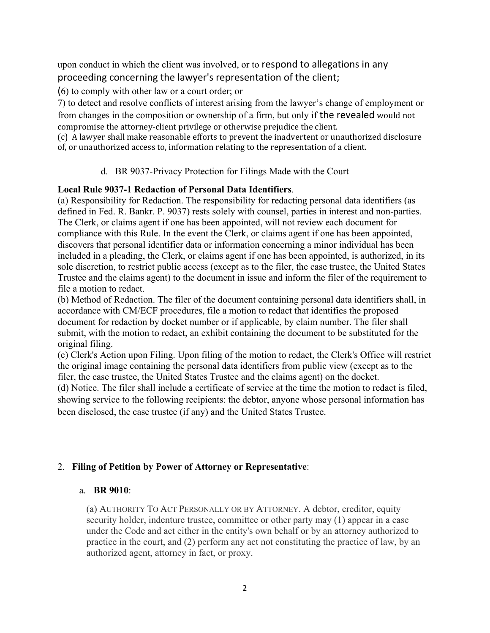upon conduct in which the client was involved, or to respond to allegations in any proceeding concerning the lawyer's representation of the client;

(6) to comply with other law or a court order; or

7) to detect and resolve conflicts of interest arising from the lawyer's change of employment or from changes in the composition or ownership of a firm, but only if the revealed would not compromise the attorney-client privilege or otherwise prejudice the client.

(c) A lawyer shall make reasonable efforts to prevent the inadvertent or unauthorized disclosure of, or unauthorized access to, information relating to the representation of a client.

# d. BR 9037-Privacy Protection for Filings Made with the Court

## **Local Rule 9037-1 Redaction of Personal Data Identifiers**.

(a) Responsibility for Redaction. The responsibility for redacting personal data identifiers (as defined in Fed. R. Bankr. P. 9037) rests solely with counsel, parties in interest and non-parties. The Clerk, or claims agent if one has been appointed, will not review each document for compliance with this Rule. In the event the Clerk, or claims agent if one has been appointed, discovers that personal identifier data or information concerning a minor individual has been included in a pleading, the Clerk, or claims agent if one has been appointed, is authorized, in its sole discretion, to restrict public access (except as to the filer, the case trustee, the United States Trustee and the claims agent) to the document in issue and inform the filer of the requirement to file a motion to redact.

(b) Method of Redaction. The filer of the document containing personal data identifiers shall, in accordance with CM/ECF procedures, file a motion to redact that identifies the proposed document for redaction by docket number or if applicable, by claim number. The filer shall submit, with the motion to redact, an exhibit containing the document to be substituted for the original filing.

(c) Clerk's Action upon Filing. Upon filing of the motion to redact, the Clerk's Office will restrict the original image containing the personal data identifiers from public view (except as to the filer, the case trustee, the United States Trustee and the claims agent) on the docket.

(d) Notice. The filer shall include a certificate of service at the time the motion to redact is filed, showing service to the following recipients: the debtor, anyone whose personal information has been disclosed, the case trustee (if any) and the United States Trustee.

# 2. **Filing of Petition by Power of Attorney or Representative**:

## a. **BR 9010**:

(a) AUTHORITY TO ACT PERSONALLY OR BY ATTORNEY. A debtor, creditor, equity security holder, indenture trustee, committee or other party may (1) appear in a case under the Code and act either in the entity's own behalf or by an attorney authorized to practice in the court, and (2) perform any act not constituting the practice of law, by an authorized agent, attorney in fact, or proxy.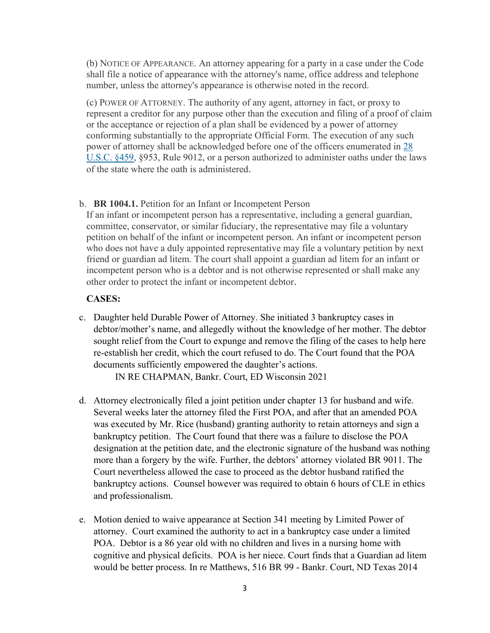(b) NOTICE OF APPEARANCE. An attorney appearing for a party in a case under the Code shall file a notice of appearance with the attorney's name, office address and telephone number, unless the attorney's appearance is otherwise noted in the record.

(c) POWER OF ATTORNEY. The authority of any agent, attorney in fact, or proxy to represent a creditor for any purpose other than the execution and filing of a proof of claim or the acceptance or rejection of a plan shall be evidenced by a power of attorney conforming substantially to the appropriate Official Form. The execution of any such power of attorney shall be acknowledged before one of the officers enumerated in 28 U.S.C. §459, §953, Rule 9012, or a person authorized to administer oaths under the laws of the state where the oath is administered.

#### b. **BR 1004.1.** Petition for an Infant or Incompetent Person

If an infant or incompetent person has a representative, including a general guardian, committee, conservator, or similar fiduciary, the representative may file a voluntary petition on behalf of the infant or incompetent person. An infant or incompetent person who does not have a duly appointed representative may file a voluntary petition by next friend or guardian ad litem. The court shall appoint a guardian ad litem for an infant or incompetent person who is a debtor and is not otherwise represented or shall make any other order to protect the infant or incompetent debtor.

### **CASES:**

c. Daughter held Durable Power of Attorney. She initiated 3 bankruptcy cases in debtor/mother's name, and allegedly without the knowledge of her mother. The debtor sought relief from the Court to expunge and remove the filing of the cases to help here re-establish her credit, which the court refused to do. The Court found that the POA documents sufficiently empowered the daughter's actions.

IN RE CHAPMAN, Bankr. Court, ED Wisconsin 2021

- d. Attorney electronically filed a joint petition under chapter 13 for husband and wife. Several weeks later the attorney filed the First POA, and after that an amended POA was executed by Mr. Rice (husband) granting authority to retain attorneys and sign a bankruptcy petition. The Court found that there was a failure to disclose the POA designation at the petition date, and the electronic signature of the husband was nothing more than a forgery by the wife. Further, the debtors' attorney violated BR 9011. The Court nevertheless allowed the case to proceed as the debtor husband ratified the bankruptcy actions. Counsel however was required to obtain 6 hours of CLE in ethics and professionalism.
- e. Motion denied to waive appearance at Section 341 meeting by Limited Power of attorney. Court examined the authority to act in a bankruptcy case under a limited POA. Debtor is a 86 year old with no children and lives in a nursing home with cognitive and physical deficits. POA is her niece. Court finds that a Guardian ad litem would be better process. In re Matthews, 516 BR 99 - Bankr. Court, ND Texas 2014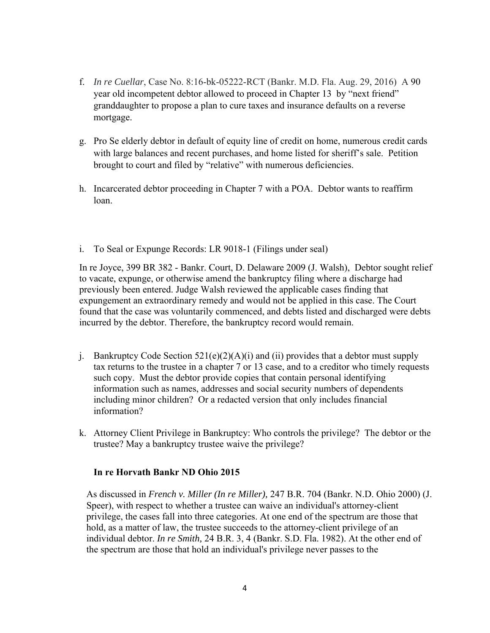- f. *In re Cuellar*, Case No. 8:16-bk-05222-RCT (Bankr. M.D. Fla. Aug. 29, 2016) A 90 year old incompetent debtor allowed to proceed in Chapter 13 by "next friend" granddaughter to propose a plan to cure taxes and insurance defaults on a reverse mortgage.
- g. Pro Se elderly debtor in default of equity line of credit on home, numerous credit cards with large balances and recent purchases, and home listed for sheriff's sale. Petition brought to court and filed by "relative" with numerous deficiencies.
- h. Incarcerated debtor proceeding in Chapter 7 with a POA. Debtor wants to reaffirm loan.
- i. To Seal or Expunge Records: LR 9018-1 (Filings under seal)

In re Joyce, 399 BR 382 - Bankr. Court, D. Delaware 2009 (J. Walsh), Debtor sought relief to vacate, expunge, or otherwise amend the bankruptcy filing where a discharge had previously been entered. Judge Walsh reviewed the applicable cases finding that expungement an extraordinary remedy and would not be applied in this case. The Court found that the case was voluntarily commenced, and debts listed and discharged were debts incurred by the debtor. Therefore, the bankruptcy record would remain.

- j. Bankruptcy Code Section  $521(e)(2)(A)(i)$  and (ii) provides that a debtor must supply tax returns to the trustee in a chapter 7 or 13 case, and to a creditor who timely requests such copy. Must the debtor provide copies that contain personal identifying information such as names, addresses and social security numbers of dependents including minor children? Or a redacted version that only includes financial information?
- k. Attorney Client Privilege in Bankruptcy: Who controls the privilege? The debtor or the trustee? May a bankruptcy trustee waive the privilege?

## **In re Horvath Bankr ND Ohio 2015**

As discussed in *French v. Miller (In re Miller),* 247 B.R. 704 (Bankr. N.D. Ohio 2000) (J. Speer), with respect to whether a trustee can waive an individual's attorney-client privilege, the cases fall into three categories. At one end of the spectrum are those that hold, as a matter of law, the trustee succeeds to the attorney-client privilege of an individual debtor. *In re Smith,* 24 B.R. 3, 4 (Bankr. S.D. Fla. 1982). At the other end of the spectrum are those that hold an individual's privilege never passes to the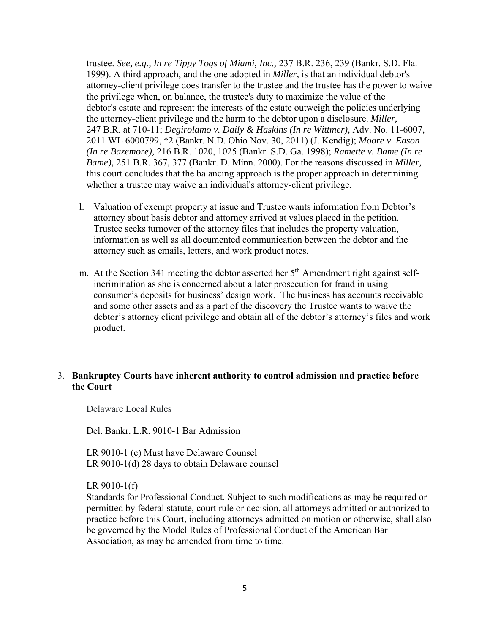trustee. *See, e.g., In re Tippy Togs of Miami, Inc.,* 237 B.R. 236, 239 (Bankr. S.D. Fla. 1999). A third approach, and the one adopted in *Miller,* is that an individual debtor's attorney-client privilege does transfer to the trustee and the trustee has the power to waive the privilege when, on balance, the trustee's duty to maximize the value of the debtor's estate and represent the interests of the estate outweigh the policies underlying the attorney-client privilege and the harm to the debtor upon a disclosure. *Miller,*  247 B.R. at 710-11; *Degirolamo v. Daily & Haskins (In re Wittmer),* Adv. No. 11-6007, 2011 WL 6000799, \*2 (Bankr. N.D. Ohio Nov. 30, 2011) (J. Kendig); *Moore v. Eason (In re Bazemore),* 216 B.R. 1020, 1025 (Bankr. S.D. Ga. 1998); *Ramette v. Bame (In re Bame),* 251 B.R. 367, 377 (Bankr. D. Minn. 2000). For the reasons discussed in *Miller,*  this court concludes that the balancing approach is the proper approach in determining whether a trustee may waive an individual's attorney-client privilege.

- l. Valuation of exempt property at issue and Trustee wants information from Debtor's attorney about basis debtor and attorney arrived at values placed in the petition. Trustee seeks turnover of the attorney files that includes the property valuation, information as well as all documented communication between the debtor and the attorney such as emails, letters, and work product notes.
- m. At the Section 341 meeting the debtor asserted her  $5<sup>th</sup>$  Amendment right against selfincrimination as she is concerned about a later prosecution for fraud in using consumer's deposits for business' design work. The business has accounts receivable and some other assets and as a part of the discovery the Trustee wants to waive the debtor's attorney client privilege and obtain all of the debtor's attorney's files and work product.

## 3. **Bankruptcy Courts have inherent authority to control admission and practice before the Court**

Delaware Local Rules

Del. Bankr. L.R. 9010-1 Bar Admission

LR 9010-1 (c) Must have Delaware Counsel LR 9010-1(d) 28 days to obtain Delaware counsel

LR 9010-1(f)

Standards for Professional Conduct. Subject to such modifications as may be required or permitted by federal statute, court rule or decision, all attorneys admitted or authorized to practice before this Court, including attorneys admitted on motion or otherwise, shall also be governed by the Model Rules of Professional Conduct of the American Bar Association, as may be amended from time to time.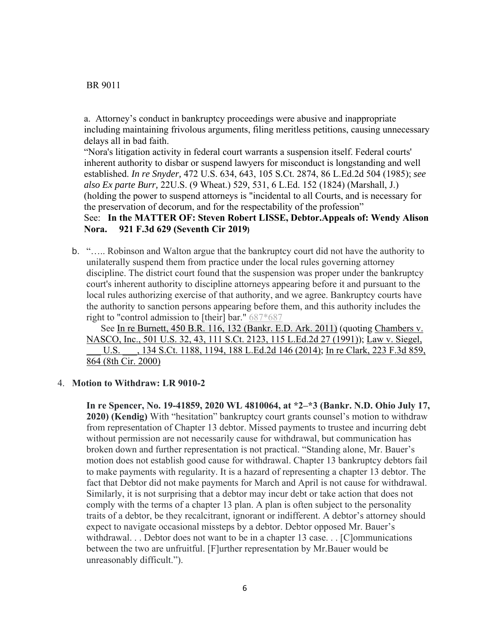BR 9011

a. Attorney's conduct in bankruptcy proceedings were abusive and inappropriate including maintaining frivolous arguments, filing meritless petitions, causing unnecessary delays all in bad faith.

"Nora's litigation activity in federal court warrants a suspension itself. Federal courts' inherent authority to disbar or suspend lawyers for misconduct is longstanding and well established. *In re Snyder,* 472 U.S. 634, 643, 105 S.Ct. 2874, 86 L.Ed.2d 504 (1985); *see also Ex parte Burr,* 22U.S. (9 Wheat.) 529, 531, 6 L.Ed. 152 (1824) (Marshall, J.) (holding the power to suspend attorneys is "incidental to all Courts, and is necessary for the preservation of decorum, and for the respectability of the profession"

## See: **In the MATTER OF: Steven Robert LISSE, Debtor.Appeals of: Wendy Alison Nora. 921 F.3d 629 (Seventh Cir 2019)**

b. "….. Robinson and Walton argue that the bankruptcy court did not have the authority to unilaterally suspend them from practice under the local rules governing attorney discipline. The district court found that the suspension was proper under the bankruptcy court's inherent authority to discipline attorneys appearing before it and pursuant to the local rules authorizing exercise of that authority, and we agree. Bankruptcy courts have the authority to sanction persons appearing before them, and this authority includes the right to "control admission to [their] bar." 687\*687

See In re Burnett, 450 B.R. 116, 132 (Bankr. E.D. Ark. 2011) (quoting Chambers v. NASCO, Inc., 501 U.S. 32, 43, 111 S.Ct. 2123, 115 L.Ed.2d 27 (1991)); Law v. Siegel, U.S.  $\qquad$ , 134 S.Ct. 1188, 1194, 188 L.Ed.2d 146 (2014); In re Clark, 223 F.3d 859, 864 (8th Cir. 2000)

## 4. **Motion to Withdraw: LR 9010-2**

**In re Spencer, No. 19-41859, 2020 WL 4810064, at \*2–\*3 (Bankr. N.D. Ohio July 17, 2020) (Kendig)** With "hesitation" bankruptcy court grants counsel's motion to withdraw from representation of Chapter 13 debtor. Missed payments to trustee and incurring debt without permission are not necessarily cause for withdrawal, but communication has broken down and further representation is not practical. "Standing alone, Mr. Bauer's motion does not establish good cause for withdrawal. Chapter 13 bankruptcy debtors fail to make payments with regularity. It is a hazard of representing a chapter 13 debtor. The fact that Debtor did not make payments for March and April is not cause for withdrawal. Similarly, it is not surprising that a debtor may incur debt or take action that does not comply with the terms of a chapter 13 plan. A plan is often subject to the personality traits of a debtor, be they recalcitrant, ignorant or indifferent. A debtor's attorney should expect to navigate occasional missteps by a debtor. Debtor opposed Mr. Bauer's withdrawal. . . Debtor does not want to be in a chapter 13 case. . . [C]ommunications between the two are unfruitful. [F]urther representation by Mr.Bauer would be unreasonably difficult.").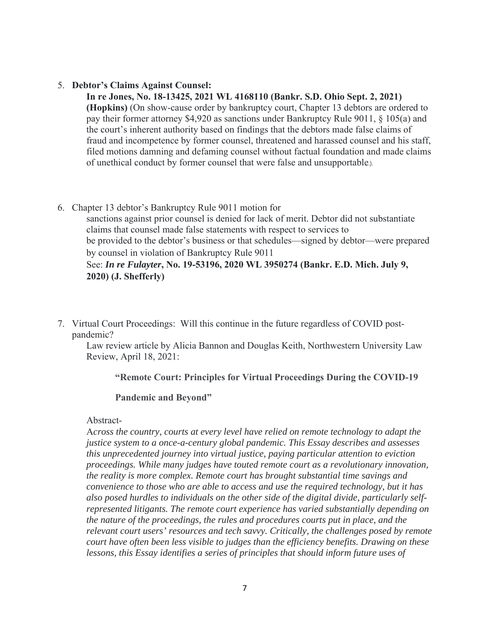#### 5. **Debtor's Claims Against Counsel:**

**In re Jones, No. 18-13425, 2021 WL 4168110 (Bankr. S.D. Ohio Sept. 2, 2021) (Hopkins)** (On show-cause order by bankruptcy court, Chapter 13 debtors are ordered to pay their former attorney \$4,920 as sanctions under Bankruptcy Rule 9011, § 105(a) and the court's inherent authority based on findings that the debtors made false claims of fraud and incompetence by former counsel, threatened and harassed counsel and his staff, filed motions damning and defaming counsel without factual foundation and made claims of unethical conduct by former counsel that were false and unsupportable.).

6. Chapter 13 debtor's Bankruptcy Rule 9011 motion for sanctions against prior counsel is denied for lack of merit. Debtor did not substantiate claims that counsel made false statements with respect to services to be provided to the debtor's business or that schedules—signed by debtor—were prepared by counsel in violation of Bankruptcy Rule 9011

# See: *In re Fulayter***, No. 19-53196, 2020 WL 3950274 (Bankr. E.D. Mich. July 9, 2020) (J. Shefferly)**

7. Virtual Court Proceedings: Will this continue in the future regardless of COVID postpandemic?

Law review article by Alicia Bannon and Douglas Keith, Northwestern University Law Review, April 18, 2021:

## **"Remote Court: Principles for Virtual Proceedings During the COVID-19**

## **Pandemic and Beyond"**

#### Abstract-

A*cross the country, courts at every level have relied on remote technology to adapt the justice system to a once-a-century global pandemic. This Essay describes and assesses this unprecedented journey into virtual justice, paying particular attention to eviction proceedings. While many judges have touted remote court as a revolutionary innovation, the reality is more complex. Remote court has brought substantial time savings and convenience to those who are able to access and use the required technology, but it has also posed hurdles to individuals on the other side of the digital divide, particularly selfrepresented litigants. The remote court experience has varied substantially depending on the nature of the proceedings, the rules and procedures courts put in place, and the relevant court users' resources and tech savvy. Critically, the challenges posed by remote court have often been less visible to judges than the efficiency benefits. Drawing on these*  lessons, this Essay identifies a series of principles that should inform future uses of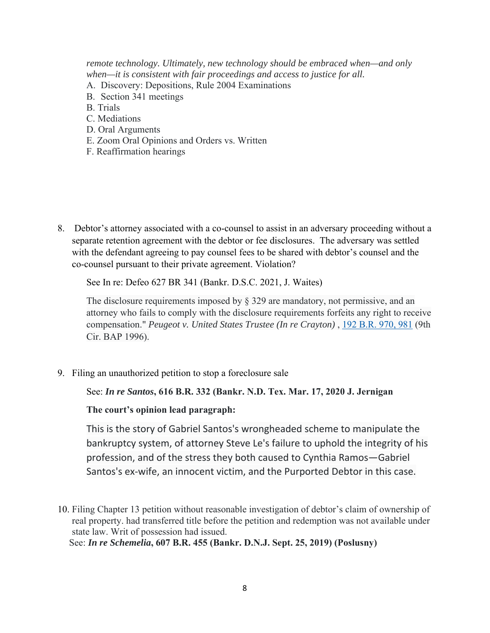*remote technology. Ultimately, new technology should be embraced when—and only when—it is consistent with fair proceedings and access to justice for all.*

- A. Discovery: Depositions, Rule 2004 Examinations
- B. Section 341 meetings
- B. Trials
- C. Mediations
- D. Oral Arguments
- E. Zoom Oral Opinions and Orders vs. Written
- F. Reaffirmation hearings

8. Debtor's attorney associated with a co-counsel to assist in an adversary proceeding without a separate retention agreement with the debtor or fee disclosures. The adversary was settled with the defendant agreeing to pay counsel fees to be shared with debtor's counsel and the co-counsel pursuant to their private agreement. Violation?

See In re: Defeo 627 BR 341 (Bankr. D.S.C. 2021, J. Waites)

The disclosure requirements imposed by  $\S$  329 are mandatory, not permissive, and an attorney who fails to comply with the disclosure requirements forfeits any right to receive compensation." *Peugeot v. United States Trustee (In re Crayton)* , 192 B.R. 970, 981 (9th Cir. BAP 1996).

9. Filing an unauthorized petition to stop a foreclosure sale

#### See: *In re Santos***, 616 B.R. 332 (Bankr. N.D. Tex. Mar. 17, 2020 J. Jernigan**

**The court's opinion lead paragraph:** 

This is the story of Gabriel Santos's wrongheaded scheme to manipulate the bankruptcy system, of attorney Steve Le's failure to uphold the integrity of his profession, and of the stress they both caused to Cynthia Ramos—Gabriel Santos's ex-wife, an innocent victim, and the Purported Debtor in this case.

10. Filing Chapter 13 petition without reasonable investigation of debtor's claim of ownership of real property. had transferred title before the petition and redemption was not available under state law. Writ of possession had issued.

See: *In re Schemelia***, 607 B.R. 455 (Bankr. D.N.J. Sept. 25, 2019) (Poslusny)**